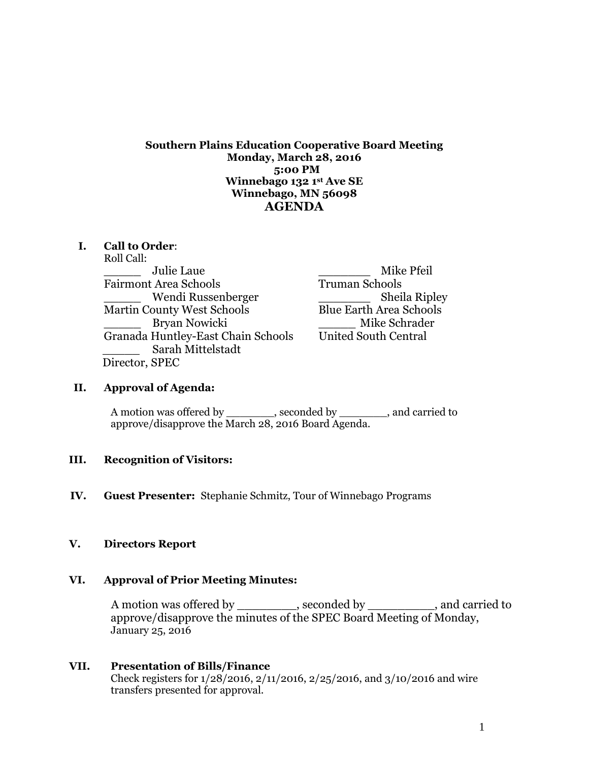**Southern Plains Education Cooperative Board Meeting Monday, March 28, 2016 5:00 PM Winnebago 132 1st Ave SE Winnebago, MN 56098 AGENDA** 

### **I. Call to Order**:

Roll Call: \_\_\_\_\_ Julie Laue \_\_\_\_\_\_\_ Mike Pfeil Fairmont Area Schools \_\_\_\_\_ Wendi Russenberger \_\_\_\_\_\_\_ Sheila Ripley Martin County West Schools Blue Earth Area Schools Bryan Nowicki **Mike Schrader** Granada Huntley-East Chain Schools United South Central \_\_\_\_\_ Sarah Mittelstadt Director, SPEC

### **II. Approval of Agenda:**

A motion was offered by \_\_\_\_\_\_\_\_, seconded by \_\_\_\_\_\_\_\_, and carried to approve/disapprove the March 28, 2016 Board Agenda.

#### **III. Recognition of Visitors:**

**IV. Guest Presenter:** Stephanie Schmitz, Tour of Winnebago Programs

#### **V. Directors Report**

#### **VI. Approval of Prior Meeting Minutes:**

A motion was offered by example by  $\sim$ , seconded by  $\sim$ , and carried to approve/disapprove the minutes of the SPEC Board Meeting of Monday, January 25, 2016

### **VII. Presentation of Bills/Finance** Check registers for 1/28/2016, 2/11/2016, 2/25/2016, and 3/10/2016 and wire transfers presented for approval.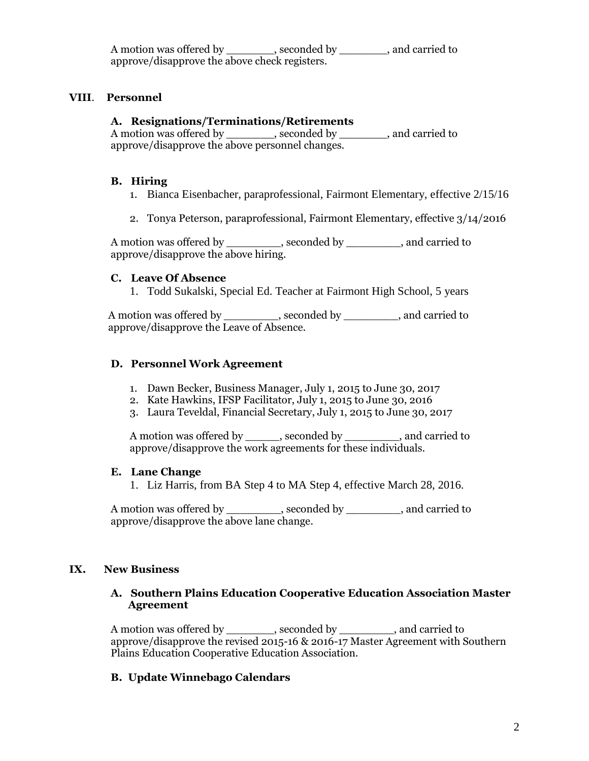| A motion was offered by                       | , seconded by | , and carried to |
|-----------------------------------------------|---------------|------------------|
| approve/disapprove the above check registers. |               |                  |

## **VIII**. **Personnel**

### **A. Resignations/Terminations/Retirements**

A motion was offered by \_\_\_\_\_\_\_, seconded by \_\_\_\_\_\_\_, and carried to approve/disapprove the above personnel changes.

#### **B. Hiring**

- 1. Bianca Eisenbacher, paraprofessional, Fairmont Elementary, effective 2/15/16
- 2. Tonya Peterson, paraprofessional, Fairmont Elementary, effective 3/14/2016

A motion was offered by \_\_\_\_\_\_\_\_, seconded by \_\_\_\_\_\_\_\_, and carried to approve/disapprove the above hiring.

### **C. Leave Of Absence**

1. Todd Sukalski, Special Ed. Teacher at Fairmont High School, 5 years

A motion was offered by \_\_\_\_\_\_\_\_, seconded by \_\_\_\_\_\_\_\_, and carried to approve/disapprove the Leave of Absence.

### **D. Personnel Work Agreement**

- 1. Dawn Becker, Business Manager, July 1, 2015 to June 30, 2017
- 2. Kate Hawkins, IFSP Facilitator, July 1, 2015 to June 30, 2016
- 3. Laura Teveldal, Financial Secretary, July 1, 2015 to June 30, 2017

A motion was offered by \_\_\_\_\_\_, seconded by \_\_\_\_\_\_\_\_, and carried to approve/disapprove the work agreements for these individuals.

#### **E. Lane Change**

1. Liz Harris, from BA Step 4 to MA Step 4, effective March 28, 2016.

A motion was offered by \_\_\_\_\_\_\_\_, seconded by \_\_\_\_\_\_\_\_, and carried to approve/disapprove the above lane change.

### **IX. New Business**

#### **A. Southern Plains Education Cooperative Education Association Master Agreement**

A motion was offered by \_\_\_\_\_\_\_, seconded by \_\_\_\_\_\_\_\_, and carried to approve/disapprove the revised 2015-16 & 2016-17 Master Agreement with Southern Plains Education Cooperative Education Association.

### **B. Update Winnebago Calendars**